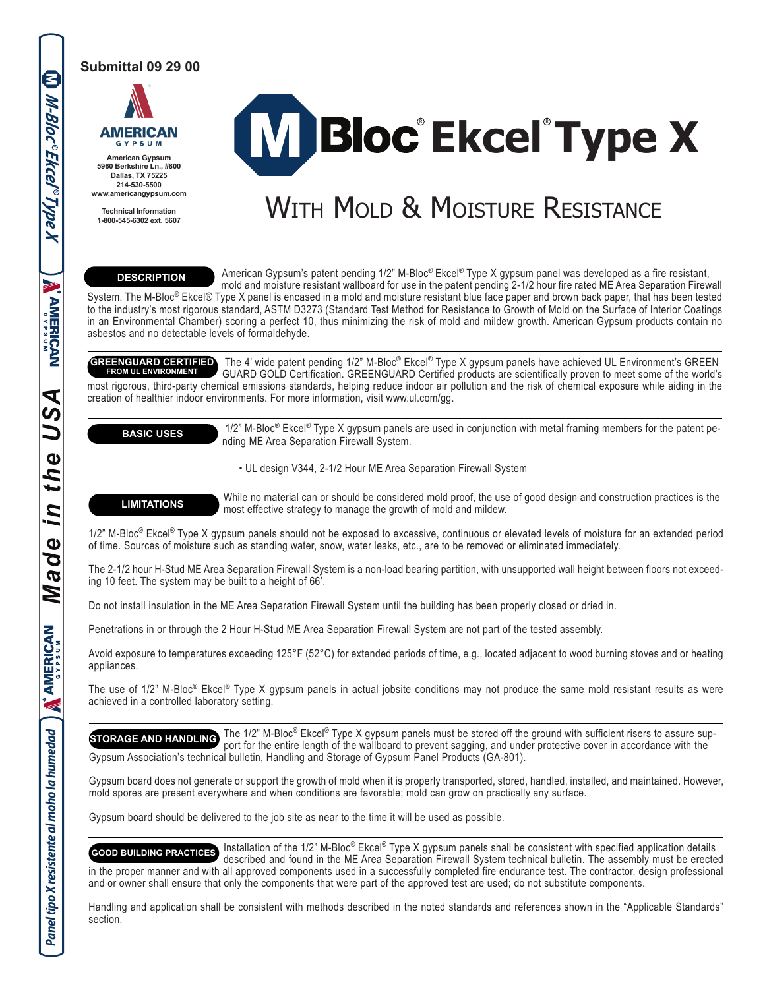#### **Submittal 09 29 00**



**American Gypsum 5960 Berkshire Ln., #800 Dallas, TX 75225 214-530-5500 www.americangypsum.com**

**Technical Information 1-800-545-6302 ext. 5607**

# $\mathsf{^{\circ}$ Ekcel $\mathsf{^{\circ}Type}}$  X

## WITH MOLD & MOISTURE RESISTANCE

### **DESCRIPTION**

 American Gypsum's patent pending 1/2" M-Bloc® Ekcel® Type X gypsum panel was developed as a fire resistant, mold and moisture resistant wallboard for use in the patent pending 2-1/2 hour fire rated ME Area Separation Firewall System. The M-Bloc® Ekcel® Type X panel is encased in a mold and moisture resistant blue face paper and brown back paper, that has been tested to the industry's most rigorous standard, ASTM D3273 (Standard Test Method for Resistance to Growth of Mold on the Surface of Interior Coatings in an Environmental Chamber) scoring a perfect 10, thus minimizing the risk of mold and mildew growth. American Gypsum products contain no asbestos and no detectable levels of formaldehyde.

 The 4' wide patent pending 1/2" M-Bloc® Ekcel® Type X gypsum panels have achieved UL Environment's GREEN GUARD GOLD Certification. GREENGUARD Certified products are scientifically proven to meet some of the world's most rigorous, third-party chemical emissions standards, helping reduce indoor air pollution and the risk of chemical exposure while aiding in the creation of healthier indoor environments. For more information, visit www.ul.com/gg. **GREENGUARD CERTIFIED FROM UL ENVIRONMENT**

**BASIC USES**

1/2" M-Bloc<sup>®</sup> Ekcel<sup>®</sup> Type X gypsum panels are used in conjunction with metal framing members for the patent pending ME Area Separation Firewall System.

• UL design V344, 2-1/2 Hour ME Area Separation Firewall System

**LIMITATIONS** While no material can or should be considered mold proof, the use of good design and construction practices is the most effective strategy to manage the growth of mold and mildew.

1/2" M-Bloc<sup>®</sup> Ekcel<sup>®</sup> Type X gypsum panels should not be exposed to excessive, continuous or elevated levels of moisture for an extended period of time. Sources of moisture such as standing water, snow, water leaks, etc., are to be removed or eliminated immediately.

The 2-1/2 hour H-Stud ME Area Separation Firewall System is a non-load bearing partition, with unsupported wall height between floors not exceeding 10 feet. The system may be built to a height of 66'.

Do not install insulation in the ME Area Separation Firewall System until the building has been properly closed or dried in.

Penetrations in or through the 2 Hour H-Stud ME Area Separation Firewall System are not part of the tested assembly.

Avoid exposure to temperatures exceeding 125°F (52°C) for extended periods of time, e.g., located adjacent to wood burning stoves and or heating appliances.

The use of 1/2" M-Bloc® Ekcel® Type X gypsum panels in actual jobsite conditions may not produce the same mold resistant results as were achieved in a controlled laboratory setting.

 The 1/2" M-Bloc® Ekcel® Type X gypsum panels must be stored off the ground with sufficient risers to assure sup port for the entire length of the wallboard to prevent sagging, and under protective cover in accordance with the Gypsum Association's technical bulletin, Handling and Storage of Gypsum Panel Products (GA-801). **STORAGE AND HANDLING**

Gypsum board does not generate or support the growth of mold when it is properly transported, stored, handled, installed, and maintained. However, mold spores are present everywhere and when conditions are favorable; mold can grow on practically any surface.

Gypsum board should be delivered to the job site as near to the time it will be used as possible.

 Installation of the 1/2" M-Bloc® Ekcel® Type X gypsum panels shall be consistent with specified application details described and found in the ME Area Separation Firewall System technical bulletin. The assembly must be erected in the proper manner and with all approved components used in a successfully completed fire endurance test. The contractor, design professional and or owner shall ensure that only the components that were part of the approved test are used; do not substitute components. **GOOD BUILDING PRACTICES**

Handling and application shall be consistent with methods described in the noted standards and references shown in the "Applicable Standards" section.